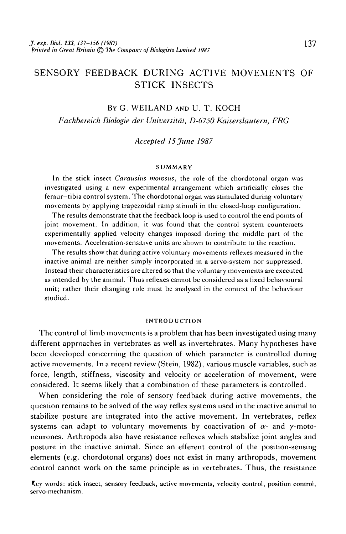# SENSORY FEEDBACK DURING ACTIVE MOVEMENTS OF STICK INSECTS

## BY G. WEILAND AND U. T. KOCH

*Fachbereich Biologie der Universitat, D-6750 Kaiserslautern, FRG*

*Accepted 15 June 1987*

#### **SUMMARY**

In the stick insect *Carausius momsus,* the role of the chordotonal organ was investigated using a new experimental arrangement which artificially closes the femur-tibia control system. The chordotonal organ was stimulated during voluntary movements by applying trapezoidal ramp stimuli in the closed-loop configuration.

The results demonstrate that the feedback loop is used to control the end points of joint movement. In addition, it was found that the control system counteracts experimentally applied velocity changes imposed during the middle part of the movements. Acceleration-sensitive units are shown to contribute to the reaction.

The results show that during active voluntary movements reflexes measured in the inactive animal are neither simply incorporated in a servo-system nor suppressed. Instead their characteristics are altered so that the voluntary movements are executed as intended by the animal. Thus reflexes cannot be considered as a fixed behavioural unit; rather their changing role must be analysed in the context of the behaviour studied.

### INTRODUCTION

The control of limb movements is a problem that has been investigated using many different approaches in vertebrates as well as invertebrates. Many hypotheses have been developed concerning the question of which parameter is controlled during active movements. In a recent review (Stein, 1982), various muscle variables, such as force, length, stiffness, viscosity and velocity or acceleration of movement, were considered. It seems likely that a combination of these parameters is controlled.

When considering the role of sensory feedback during active movements, the question remains to be solved of the way reflex systems used in the inactive animal to stabilize posture are integrated into the active movement. In vertebrates, reflex systems can adapt to voluntary movements by coactivation of  $\alpha$ - and  $\gamma$ -motoneurones. Arthropods also have resistance reflexes which stabilize joint angles and posture in the inactive animal. Since an efferent control of the position-sensing elements (e.g. chordotonal organs) does not exist in many arthropods, movement control cannot work on the same principle as in vertebrates. Thus, the resistance

Key words: stick insect, sensory feedback, active movements, velocity control, position control, servo-mechanism.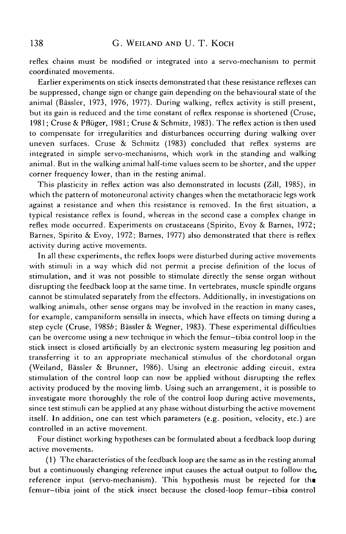reflex chains must be modified or integrated into a servo-mechanism to permit coordinated movements.

Earlier experiments on stick insects demonstrated that these resistance reflexes can be suppressed, change sign or change gain depending on the behavioural state of the animal (Bassler, 1973, 1976, 1977). During walking, reflex activity is still present, but its gain is reduced and the time constant of reflex response is shortened (Cruse, 1981; Cruse & Pfluger, 1981; Cruse & Schmitz, 1983). The reflex action is then used to compensate for irregularities and disturbances occurring during walking over uneven surfaces. Cruse & Schmitz (1983) concluded that reflex systems are integrated in simple servo-mechanisms, which work in the standing and walking animal. But in the walking animal half-time values seem to be shorter, and the upper corner frequency lower, than in the resting animal.

This plasticity in reflex action was also demonstrated in locusts (Zill, 1985), in which the pattern of motoneuronal activity changes when the metathoracic legs work against a resistance and when this resistance is removed. In the first situation, a typical resistance reflex is found, whereas in the second case a complex change in reflex mode occurred. Experiments on crustaceans (Spirito, Evoy & Barnes, 1972; Barnes, Spirito & Evoy, 1972; Barnes, 1977) also demonstrated that there is reflex activity during active movements.

In all these experiments, the reflex loops were disturbed during active movements with stimuli in a way which did not permit a precise definition of the locus of stimulation, and it was not possible to stimulate directly the sense organ without disrupting the feedback loop at the same time. In vertebrates, muscle spindle organs cannot be stimulated separately from the effectors. Additionally, in investigations on walking animals, other sense organs may be involved in the reaction in many cases, for example, campaniform sensilla in insects, which have effects on timing during a step cycle (Cruse, 19856; Bassler & Wegner, 1983). These experimental difficulties can be overcome using a new technique in which the femur—tibia control loop in the stick insect is closed artificially by an electronic system measuring leg position and transferring it to an appropriate mechanical stimulus of the chordotonal organ (Weiland, Bassler & Brunner, 1986). Using an electronic adding circuit, extra stimulation of the control loop can now be applied without disrupting the reflex activity produced by the moving limb. Using such an arrangement, it is possible to investigate more thoroughly the role of the control loop during active movements, since test stimuli can be applied at any phase without disturbing the active movement itself. In addition, one can test which parameters (e.g. position, velocity, etc.) are controlled in an active movement.

Four distinct working hypotheses can be formulated about a feedback loop during active movements.

(1) The characteristics of the feedback loop are the same as in the resting animal but a continuously changing reference input causes the actual output to follow the, reference input (servo-mechanism). This hypothesis must be rejected for tha femur—tibia joint of the stick insect because the closed-loop femur-tibia control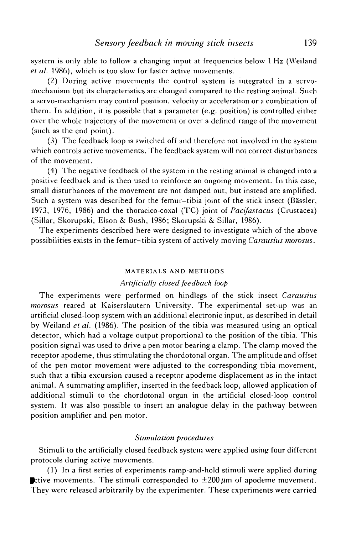system is only able to follow a changing input at frequencies below 1 Hz (Weiland *et al.* 1986), which is too slow for faster active movements.

(2) During active movements the control system is integrated in a servomechanism but its characteristics are changed compared to the resting animal. Such a servo-mechanism may control position, velocity or acceleration or a combination of them. In addition, it is possible that a parameter (e.g. position) is controlled either over the whole trajectory of the movement or over a defined range of the movement (such as the end point).

(3) The feedback loop is switched off and therefore not involved in the system which controls active movements. The feedback system will not correct disturbances of the movement.

(4) The negative feedback of the system in the resting animal is changed into a positive feedback and is then used to reinforce an ongoing movement. In this case, small disturbances of the movement are not damped out, but instead are amplified. Such a system was described for the femur-tibia joint of the stick insect (Bässler, 1973, 1976, 1986) and the thoracico-coxal (TC) joint of *Pacifastacus* (Crustacea) (Sillar, Skorupski, Elson & Bush, 1986; Skorupski & Sillar, 1986).

The experiments described here were designed to investigate which of the above possibilities exists in the femur—tibia system of actively moving *Carausius morosus.*

#### MATERIALS AND METHODS

## *Artificially closed feedback loop*

The experiments were performed on hindlegs of the stick insect *Carausius morosus* reared at Kaiserslautern University. The experimental set-up was an artificial closed-loop system with an additional electronic input, as described in detail by Weiland *et al.* (1986). The position of the tibia was measured using an optical detector, which had a voltage output proportional to the position of the tibia. This position signal was used to drive a pen motor bearing a clamp. The clamp moved the receptor apodeme, thus stimulating the chordotonal organ. The amplitude and offset of the pen motor movement were adjusted to the corresponding tibia movement, such that a tibia excursion caused a receptor apodeme displacement as in the intact animal. A summating amplifier, inserted in the feedback loop, allowed application of additional stimuli to the chordotonal organ in the artificial closed-loop control system. It was also possible to insert an analogue delay in the pathway between position amplifier and pen motor.

## *Stimulation procedures*

Stimuli to the artificially closed feedback system were applied using four different protocols during active movements.

(1) In a first series of experiments ramp-and-hold stimuli were applied during **Example 1** ctive movements. The stimuli corresponded to  $\pm 200 \mu$ m of apodeme movement. They were released arbitrarily by the experimenter. These experiments were carried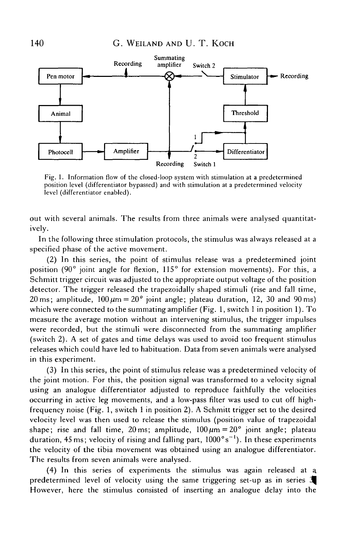

Fig. 1. Information flow of the closed-loop system with stimulation at a predetermined position level (differentiator bypassed) and with stimulation at a predetermined velocity level (differentiator enabled).

out with several animals. The results from three animals were analysed quantitatively.

In the following three stimulation protocols, the stimulus was always released at a specified phase of the active movement.

(2) In this series, the point of stimulus release was a predetermined joint position (90° joint angle for flexion, 115° for extension movements). For this, a Schmitt trigger circuit was adjusted to the appropriate output voltage of the position detector. The trigger released the trapezoidally shaped stimuli (rise and fall time, 20 ms; amplitude,  $100 \mu m = 20^{\circ}$  joint angle; plateau duration, 12, 30 and 90 ms) which were connected to the summating amplifier (Fig. 1, switch 1 in position 1). To measure the average motion without an intervening stimulus, the trigger impulses were recorded, but the stimuli were disconnected from the summating amplifier (switch 2). A set of gates and time delays was used to avoid too frequent stimulus releases which could have led to habituation. Data from seven animals were analysed in this experiment.

(3) In this series, the point of stimulus release was a predetermined velocity of the joint motion. For this, the position signal was transformed to a velocity signal using an analogue differentiator adjusted to reproduce faithfully the velocities occurring in active leg movements, and a low-pass filter was used to cut off highfrequency noise (Fig. 1, switch 1 in position 2). A Schmitt trigger set to the desired velocity level was then used to release the stimulus (position value of trapezoidal shape; rise and fall time, 20 ms; amplitude,  $100 \mu m = 20^{\circ}$  joint angle; plateau duration, 45 ms; velocity of rising and falling part,  $1000^\circ$ s<sup>-1</sup>). In these experiments the velocity of the tibia movement was obtained using an analogue differentiator. The results from seven animals were analysed.

(4) In this series of experiments the stimulus was again released at a predetermined level of velocity using the same triggering set-up as in series *2^* However, here the stimulus consisted of inserting an analogue delay into the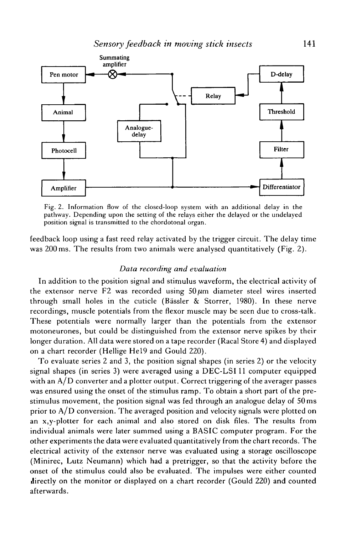

Fig. 2. Information flow of the closed-loop system with an additional delay in the pathway. Depending upon the setting of the relays either the delayed or the undelayed position signal is transmitted to the chordotonal organ.

feedback loop using a fast reed relay activated by the trigger circuit. The delay time was 200 ms. The results from two animals were analysed quantitatively (Fig. 2).

### *Data recording and evaluation*

In addition to the position signal and stimulus waveform, the electrical activity of the extensor nerve F2 was recorded using  $50 \mu m$  diameter steel wires inserted through small holes in the cuticle (Bässler  $\&$  Storrer, 1980). In these nerve recordings, muscle potentials from the flexor muscle may be seen due to cross-talk. These potentials were normally larger than the potentials from the extensor motoneurones, but could be distinguished from the extensor nerve spikes by their longer duration. All data were stored on a tape recorder (Racal Store 4) and displayed on a chart recorder (Hellige Hel9 and Gould 220).

To evaluate series 2 and 3, the position signal shapes (in series 2) or the velocity signal shapes (in series 3) were averaged using a DEC-LSI 11 computer equipped with an  $A/D$  converter and a plotter output. Correct triggering of the averager passes was ensured using the onset of the stimulus ramp. To obtain a short part of the prestimulus movement, the position signal was fed through an analogue delay of 50 ms prior to A/D conversion. The averaged position and velocity signals were plotted on an x,y-plotter for each animal and also stored on disk files. The results from individual animals were later summed using a BASIC computer program. For the other experiments the data were evaluated quantitatively from the chart records. The electrical activity of the extensor nerve was evaluated using a storage oscilloscope (Minirec, Lutz Neumann) which had a pretrigger, so that the activity before the onset of the stimulus could also be evaluated. The impulses were either counted directly on the monitor or displayed on a chart recorder (Gould 220) and counted afterwards.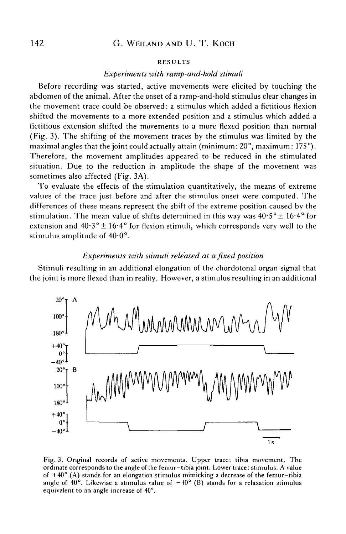#### RESULTS

#### *Experiments with ramp-and-hold stimuli*

Before recording was started, active movements were elicited by touching the abdomen of the animal. After the onset of a ramp-and-hold stimulus clear changes in the movement trace could be observed: a stimulus which added a fictitious flexion shifted the movements to a more extended position and a stimulus which added a fictitious extension shifted the movements to a more flexed position than normal (Fig. 3). The shifting of the movement traces by the stimulus was limited by the maximal angles that the joint could actually attain (minimum:  $20^{\circ}$ , maximum:  $175^{\circ}$ ). Therefore, the movement amplitudes appeared to be reduced in the stimulated situation. Due to the reduction in amplitude the shape of the movement was sometimes also affected (Fig. 3A).

To evaluate the effects of the stimulation quantitatively, the means of extreme values of the trace just before and after the stimulus onset were computed. The differences of these means represent the shift of the extreme position caused by the stimulation. The mean value of shifts determined in this way was  $40.5^{\circ} \pm 16.4^{\circ}$  for extension and  $40.3^{\circ} \pm 16.4^{\circ}$  for flexion stimuli, which corresponds very well to the stimulus amplitude of 40-0°.

## *Experiments with stimuli released at a fixed position*

Stimuli resulting in an additional elongation of the chordotonal organ signal that the joint is more flexed than in reality. However, a stimulus resulting in an additional



Fig. 3. Original records of active movements. Upper trace: tibia movement. The ordinate corresponds to the angle of the femur—tibia joint. Lower trace: stimulus. A value of  $+40^{\circ}$  (A) stands for an elongation stimulus mimicking a decrease of the femur-tibia angle of 40°. Likewise a stimulus value of  $-40^{\circ}$  (B) stands for a relaxation stimulus equivalent to an angle increase of 40°.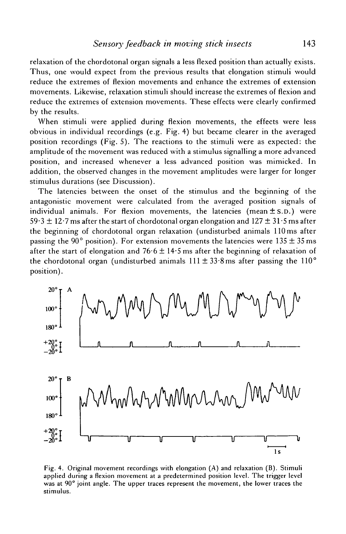relaxation of the chordotonal organ signals a less flexed position than actually exists. Thus, one would expect from the previous results that elongation stimuli would reduce the extremes of flexion movements and enhance the extremes of extension movements. Likewise, relaxation stimuli should increase the extremes of flexion and reduce the extremes of extension movements. These effects were clearly confirmed by the results.

When stimuli were applied during flexion movements, the effects were less obvious in individual recordings (e.g. Fig. 4) but became clearer in the averaged position recordings (Fig. 5). The reactions to the stimuli were as expected: the amplitude of the movement was reduced with a stimulus signalling a more advanced position, and increased whenever a less advanced position was mimicked. In addition, the observed changes in the movement amplitudes were larger for longer stimulus durations (see Discussion).

The latencies between the onset of the stimulus and the beginning of the antagonistic movement were calculated from the averaged position signals of individual animals. For flexion movements, the latencies (mean  $\pm$  s.D.) were  $59.3 \pm 12.7$  ms after the start of chordotonal organ elongation and  $127 \pm 31.5$  ms after the beginning of chordotonal organ relaxation (undisturbed animals 110 ms after passing the 90° position). For extension movements the latencies were  $135 \pm 35$  ms after the start of elongation and  $76.6 \pm 14.5$  ms after the beginning of relaxation of the chordotonal organ (undisturbed animals  $111 \pm 33.8$  ms after passing the  $110^{\circ}$ position).



Fig. 4. Original movement recordings with elongation (A) and relaxation (B). Stimuli applied during a flexion movement at a predetermined position level. The trigger level was at 90° joint angle. The upper traces represent the movement, the lower traces the stimulus.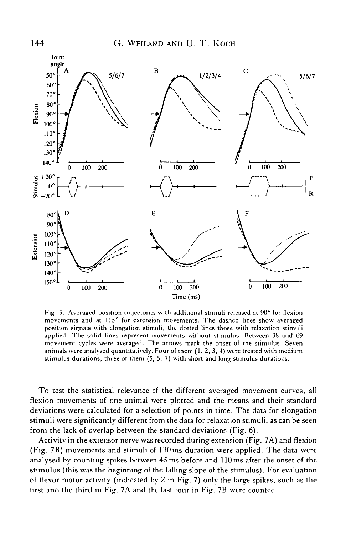

Fig. 5. Averaged position trajectories with additional stimuli released at 90° for flexion movements and at 115° for extension movements. The dashed lines show averaged position signals with elongation stimuli, the dotted lines those with relaxation stimuli applied. The solid lines represent movements without stimulus. Between 38 and 69 movement cycles were averaged. The arrows mark the onset of the stimulus. Seven animals were analysed quantitatively. Four of them  $(1, 2, 3, 4)$  were treated with medium stimulus durations, three of them (5, 6, 7) with short and long stimulus durations.

To test the statistical relevance of the different averaged movement curves, all flexion movements of one animal were plotted and the means and their standard deviations were calculated for a selection of points in time. The data for elongation stimuli were significantly different from the data for relaxation stimuli, as can be seen from the lack of overlap between the standard deviations (Fig. 6).

Activity in the extensor nerve was recorded during extension (Fig. 7A) and flexion (Fig. 7B) movements and stimuli of 130 ms duration were applied. The data were analysed by counting spikes between 45 ms before and 110 ms after the onset of the stimulus (this was the beginning of the falling slope of the stimulus). For evaluation of flexor motor activity (indicated by 2 in Fig. 7) only the large spikes, such as the first and the third in Fig. 7A and the last four in Fig. 7B were counted.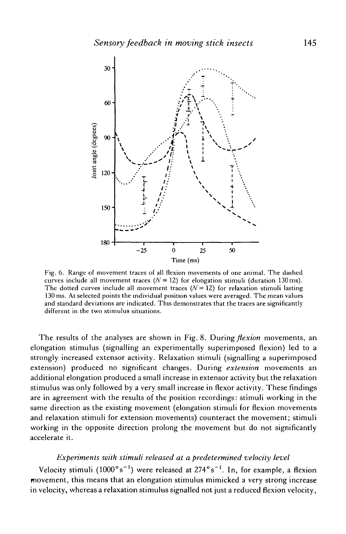

Fig. 6. Range of movement traces of all flexion movements of one animal. The dashed curves include all movement traces ( $N = 12$ ) for elongation stimuli (duration 130 ms). The dotted curves include all movement traces  $(N = 12)$  for relaxation stimuli lasting 130 ms. At selected points the individual position values were averaged. The mean values and standard deviations are indicated. This demonstrates that the traces are significantly different in the two stimulus situations.

The results of the analyses are shown in Fig. 8. During *flexion* movements, an elongation stimulus (signalling an experimentally superimposed flexion) led to a strongly increased extensor activity. Relaxation stimuli (signalling a superimposed extension) produced no significant changes. During *extension* movements an additional elongation produced a small increase in extensor activity but the relaxation stimulus was only followed by a very small increase in flexor activity. These findings are in agreement with the results of the position recordings: stimuli working in the same direction as the existing movement (elongation stimuli for flexion movements and relaxation stimuli for extension movements) counteract the movement; stimuli working in the opposite direction prolong the movement but do not significantly accelerate it.

## *Experiments with stimuli released at a predetermined velocity level*

Velocity stimuli  $(1000°s^{-1})$  were released at 274°s<sup>-1</sup>. In, for example, a flexion movement, this means that an elongation stimulus mimicked a very strong increase in velocity, whereas a relaxation stimulus signalled not just a reduced flexion velocity,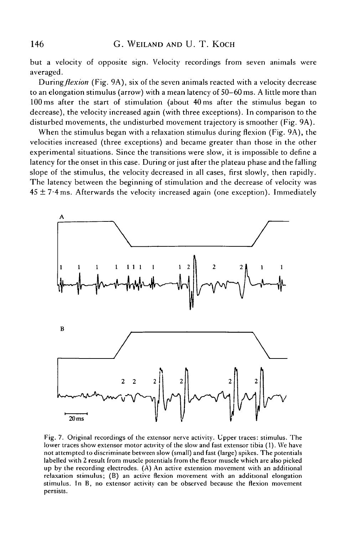but a velocity of opposite sign. Velocity recordings from seven animals were averaged.

*During flexion* (Fig. 9A), six of the seven animals reacted with a velocity decrease to an elongation stimulus (arrow) with a mean latency of 50—60 ms. A little more than 100 ms after the start of stimulation (about 40 ms after the stimulus began to decrease), the velocity increased again (with three exceptions). In comparison to the disturbed movements, the undisturbed movement trajectory is smoother (Fig. 9A).

When the stimulus began with a relaxation stimulus during flexion (Fig. 9A), the velocities increased (three exceptions) and became greater than those in the other experimental situations. Since the transitions were slow, it is impossible to define a latency for the onset in this case. During or just after the plateau phase and the falling slope of the stimulus, the velocity decreased in all cases, first slowly, then rapidly. The latency between the beginning of stimulation and the decrease of velocity was  $45 \pm 7.4$  ms. Afterwards the velocity increased again (one exception). Immediately



Fig. 7. Original recordings of the extensor nerve activity. Upper traces: stimulus. The lower traces show extensor motor activity of the slow and fast extensor tibia (1). We have not attempted to discriminate between slow (small) and fast (large) spikes. The potentials labelled with 2 result from muscle potentials from the flexor muscle which are also picked up by the recording electrodes. (A) An active extension movement with an additional relaxation stimulus; (B) an active flexion movement with an additional elongation stimulus. In B, no extensor activity can be observed because the flexion movement persists.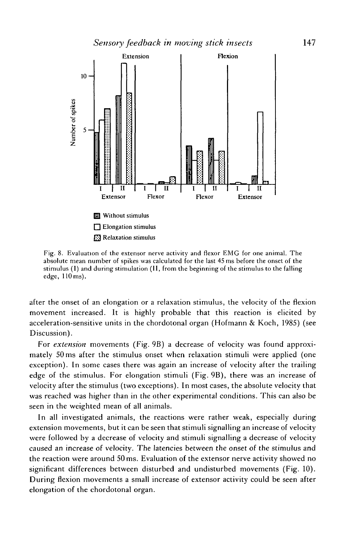

Fig. 8. Evaluation of the extensor nerve activity and flexor EMG for one animal. The absolute mean number of spikes was calculated for the last 45 ms before the onset of the stimulus (I) and during stimulation (II, from the beginning of the stimulus to the falling edge, 110 ms).

after the onset of an elongation or a relaxation stimulus, the velocity of the flexion movement increased. It is highly probable that this reaction is elicited by acceleration-sensitive units in the chordotonal organ (Hofmann & Koch, 1985) (see Discussion).

For *extension* movements (Fig. 9B) a decrease of velocity was found approximately 50 ms after the stimulus onset when relaxation stimuli were applied (one exception). In some cases there was again an increase of velocity after the trailing edge of the stimulus. For elongation stimuli (Fig. 9B), there was an increase of velocity after the stimulus (two exceptions). In most cases, the absolute velocity that was reached was higher than in the other experimental conditions. This can also be seen in the weighted mean of all animals.

In all investigated animals, the reactions were rather weak, especially during extension movements, but it can be seen that stimuli signalling an increase of velocity were followed by a decrease of velocity and stimuli signalling a decrease of velocity caused an increase of velocity. The latencies between the onset of the stimulus and the reaction were around 50 ms. Evaluation of the extensor nerve activity showed no significant differences between disturbed and undisturbed movements (Fig. 10). During flexion movements a small increase of extensor activity could be seen after elongation of the chordotonal organ.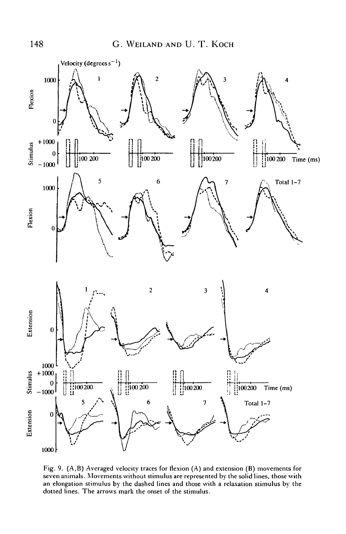

Fig. 9. (A,B) Averaged velocity traces for flexion (A) and extension (B) movements for seven animals. Movements without stimulus are represented by the solid lines, those with an elongation stimulus by the dashed lines and those with a relaxation stimulus by the dotted lines. The arrows mark the onset of the stimulus.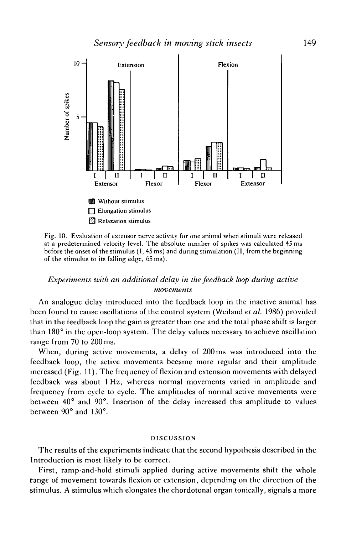

Fig. 10. Evaluation of extensor nerve activity for one animal when stimuli were released at a predetermined velocity level. The absolute number of spikes was calculated 45 ms before the onset of the stimulus (I, 45 ms) and during stimulation (II, from the beginning of the stimulus to its falling edge, 65 ms).

## *Experiments with an additional delay in the feedback loop during active movements*

An analogue delay introduced into the feedback loop in the inactive animal has been found to cause oscillations of the control system (Weiland *et al.* 1986) provided that in the feedback loop the gain is greater than one and the total phase shift is larger than 180° in the open-loop system. The delay values necessary to achieve oscillation range from 70 to 200 ms.

When, during active movements, a delay of 200 ms was introduced into the feedback loop, the active movements became more regular and their amplitude increased (Fig. 11). The frequency of flexion and extension movements with delayed feedback was about 1 Hz, whereas normal movements varied in amplitude and frequency from cycle to cycle. The amplitudes of normal active movements were between 40° and 90°. Insertion of the delay increased this amplitude to values between 90° and 130°.

### DISCUSSION

The results of the experiments indicate that the second hypothesis described in the Introduction is most likely to be correct.

First, ramp-and-hold stimuli applied during active movements shift the whole range of movement towards flexion or extension, depending on the direction of the stimulus. A stimulus which elongates the chordotonal organ tonically, signals a more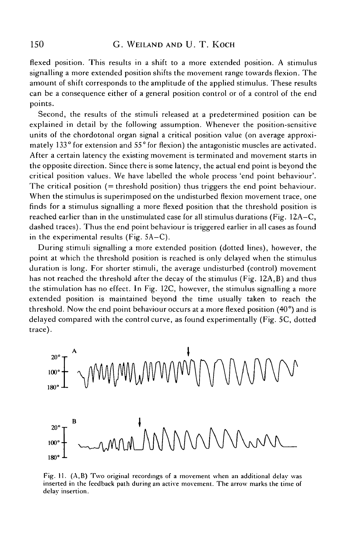flexed position. This results in a shift to a more extended position. A stimulus signalling a more extended position shifts the movement range towards flexion. The amount of shift corresponds to the amplitude of the applied stimulus. These results can be a consequence either of a general position control or of a control of the end points.

Second, the results of the stimuli released at a predetermined position can be explained in detail by the following assumption. Whenever the position-sensitive units of the chordotonal organ signal a critical position value (on average approximately 133° for extension and 55° for flexion) the antagonistic muscles are activated. After a certain latency the existing movement is terminated and movement starts in the opposite direction. Since there is some latency, the actual end point is beyond the critical position values. We have labelled the whole process 'end point behaviour'. The critical position (= threshold position) thus triggers the end point behaviour. When the stimulus is superimposed on the undisturbed flexion movement trace, one finds for a stimulus signalling a more flexed position that the threshold position is reached earlier than in the unstimulated case for all stimulus durations (Fig. 12A-C, dashed traces). Thus the end point behaviour is triggered earlier in all cases as found in the experimental results (Fig. 5A-C).

During stimuli signalling a more extended position (dotted lines), however, the point at which the threshold position is reached is only delayed when the stimulus duration is long. For shorter stimuli, the average undisturbed (control) movement has not reached the threshold after the decay of the stimulus (Fig. 12A.B) and thus the stimulation has no effect. In Fig. 12C, however, the stimulus signalling a more extended position is maintained beyond the time usually taken to reach the threshold. Now the end point behaviour occurs at a more flexed position (40°) and is delayed compared with the control curve, as found experimentally (Fig. 5C, dotted trace).



Fig. 11. (A,B) Two original recordings of a movement when an additional delay was inserted in the feedback path during an active movement. The arrow marks the time of delay insertion.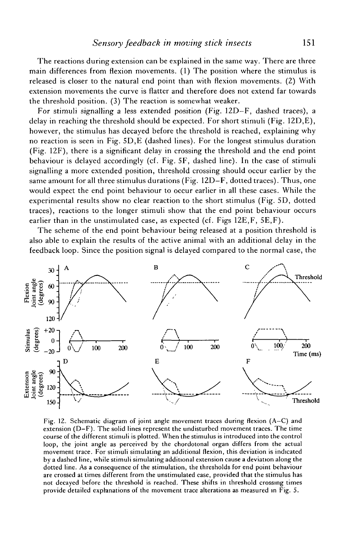The reactions during extension can be explained in the same way. There are three main differences from flexion movements. (1) The position where the stimulus is released is closer to the natural end point than with flexion movements. (2) With extension movements the curve is flatter and therefore does not extend far towards the threshold position. (3) The reaction is somewhat weaker.

For stimuli signalling a less extended position (Fig. 12D—F, dashed traces), a delay in reaching the threshold should be expected. For short stimuli (Fig. 12D,E), however, the stimulus has decayed before the threshold is reached, explaining why no reaction is seen in Fig. 5D,E (dashed lines). For the longest stimulus duration (Fig. 12F), there is a significant delay in crossing the threshold and the end point behaviour is delayed accordingly (cf. Fig. 5F, dashed line). In the case of stimuli signalling a more extended position, threshold crossing should occur earlier by the same amount for all three stimulus durations (Fig. 12D-F, dotted traces). Thus, one would expect the end point behaviour to occur earlier in all these cases. While the experimental results show no clear reaction to the short stimulus (Fig. 5D, dotted traces), reactions to the longer stimuli show that the end point behaviour occurs earlier than in the unstimulated case, as expected (cf. Figs 12E,F, 5E,F).

The scheme of the end point behaviour being released at a position threshold is also able to explain the results of the active animal with an additional delay in the feedback loop. Since the position signal is delayed compared to the normal case, the



Fig. 12. Schematic diagram of joint angle movement traces during flexion (A-C) and extension (D-F). The solid lines represent the undisturbed movement traces. The time course of the different stimuli is plotted. When the stimulus is introduced into the control loop, the joint angle as perceived by the chordotonal organ differs from the actual movement trace. For stimuli simulating an additional flexion, this deviation is indicated by a dashed line, while stimuli simulating additional extension cause a deviation along the dotted line. As a consequence of the stimulation, the thresholds for end point behaviour are crossed at times different from the unstimulated case, provided that the stimulus has not decayed before the threshold is reached. These shifts in threshold crossing times provide detailed explanations of the movement trace alterations as measured in Fig. 5.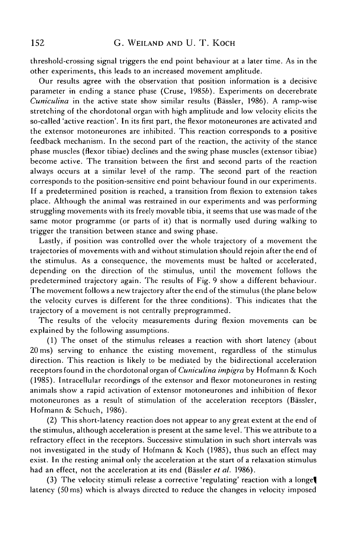threshold-crossing signal triggers the end point behaviour at a later time. As in the other experiments, this leads to an increased movement amplitude.

Our results agree with the observation that position information is a decisive parameter in ending a stance phase (Cruse, 19856). Experiments on decerebrate *Cuniculina* in the active state show similar results (Bässler, 1986). A ramp-wise stretching of the chordotonal organ with high amplitude and low velocity elicits the so-called 'active reaction'. In its first part, the flexor motoneurones are activated and the extensor motoneurones are inhibited. This reaction corresponds to a positive feedback mechanism. In the second part of the reaction, the activity of the stance phase muscles (flexor tibiae) declines and the swing phase muscles (extensor tibiae) become active. The transition between the first and second parts of the reaction always occurs at a similar level of the ramp. The second part of the reaction corresponds to the position-sensitive end point behaviour found in our experiments. If a predetermined position is reached, a transition from flexion to extension takes place. Although the animal was restrained in our experiments and was performing struggling movements with its freely movable tibia, it seems that use was made of the same motor programme (or parts of it) that is normally used during walking to trigger the transition between stance and swing phase.

Lastly, if position was controlled over the whole trajectory of a movement the trajectories of movements with and without stimulation should rejoin after the end of the stimulus. As a consequence, the movements must be halted or accelerated, depending on the direction of the stimulus, until the movement follows the predetermined trajectory again. The results of Fig. 9 show a different behaviour. The movement follows a new trajectory after the end of the stimulus (the plane below the velocity curves is different for the three conditions). This indicates that the trajectory of a movement is not centrally preprogrammed.

The results of the velocity measurements during flexion movements can be explained by the following assumptions.

(1) The onset of the stimulus releases a reaction with short latency (about 20 ms) serving to enhance the existing movement, regardless of the stimulus direction. This reaction is likely to be mediated by the bidirectional acceleration receptors found in the chordotonal organ of *Cuniculina impigra* by Hofmann & Koch (1985). Intracellular recordings of the extensor and flexor motoneurones in resting animals show a rapid activation of extensor motoneurones and inhibition of flexor motoneurones as a result of stimulation of the acceleration receptors (Bässler, Hofmann & Schuch, 1986).

(2) This short-latency reaction does not appear to any great extent at the end of the stimulus, although acceleration is present at the same level. This we attribute to a refractory effect in the receptors. Successive stimulation in such short intervals was not investigated in the study of Hofmann & Koch (1985), thus such an effect may exist. In the resting animal only the acceleration at the start of a relaxation stimulus had an effect, not the acceleration at its end (Bässler et al. 1986).

(3) The velocity stimuli release a corrective 'regulating' reaction with a longej latency (50 ms) which is always directed to reduce the changes in velocity imposed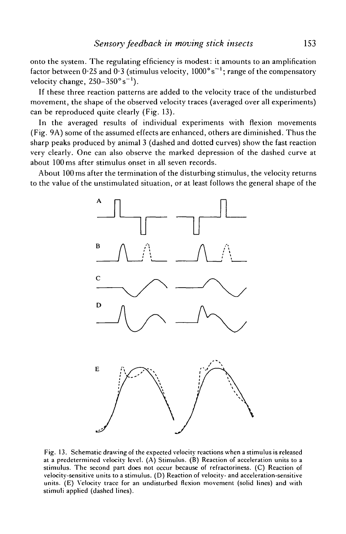onto the system. The regulating efficiency is modest: it amounts to an amplification factor between  $0.25$  and  $0.3$  (stimulus velocity,  $1000^\circ$ s<sup>-1</sup>; range of the compensatory velocity change,  $250 - 350^{\circ} \text{s}^{-1}$ ).

If these three reaction patterns are added to the velocity trace of the undisturbed movement, the shape of the observed velocity traces (averaged over all experiments) can be reproduced quite clearly (Fig. 13).

In the averaged results of individual experiments with flexion movements (Fig. 9A) some of the assumed effects are enhanced, others are diminished. Thus the sharp peaks produced by animal 3 (dashed and dotted curves) show the fast reaction very clearly. One can also observe the marked depression of the dashed curve at about 100 ms after stimulus onset in all seven records.

About 100 ms after the termination of the disturbing stimulus, the velocity returns to the value of the unstimulated situation, or at least follows the general shape of the



Fig. 13. Schematic drawing of the expected velocity reactions when a stimulus is released at a predetermined velocity level. (A) Stimulus. (B) Reaction of acceleration units to a stimulus. The second part does not occur because of refractoriness. (C) Reaction of velocity-sensitive units to a stimulus. (D) Reaction of velocity- and acceleration-sensitive units. (E) Velocity trace for an undisturbed flexion movement (solid lines) and with stimuli applied (dashed lines).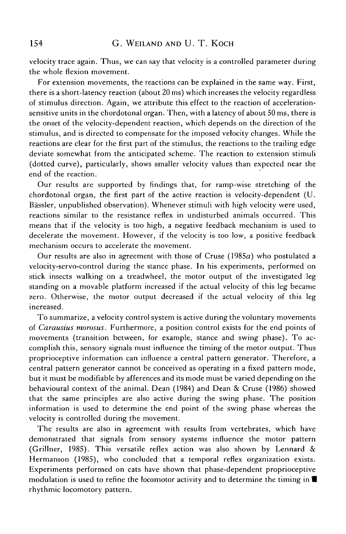velocity trace again. Thus, we can say that velocity is a controlled parameter during the whole flexion movement.

For extension movements, the reactions can be explained in the same way. First, there is a short-latency reaction (about 20 ms) which increases the velocity regardless of stimulus direction. Again, we attribute this effect to the reaction of accelerationsensitive units in the chordotonal organ. Then, with a latency of about 50 ms, there is the onset of the velocity-dependent reaction, which depends on the direction of the stimulus, and is directed to compensate for the imposed velocity changes. While the reactions are clear for the first part of the stimulus, the reactions to the trailing edge deviate somewhat from the anticipated scheme. The reaction to extension stimuli (dotted curve), particularly, shows smaller velocity values than expected near the end of the reaction.

Our results are supported by findings that, for ramp-wise stretching of the chordotonal organ, the first part of the active reaction is velocity-dependent (U. Bässler, unpublished observation). Whenever stimuli with high velocity were used, reactions similar to the resistance reflex in undisturbed animals occurred. This means that if the velocity is too high, a negative feedback mechanism is used to decelerate the movement. However, if the velocity is too low, a positive feedback mechanism occurs to accelerate the movement.

Our results are also in agreement with those of Cruse  $(1985a)$  who postulated a velocity-servo-control during the stance phase. In his experiments, performed on stick insects walking on a treadwheel, the motor output of the investigated leg standing on a movable platform increased if the actual velocity of this leg became zero. Otherwise, the motor output decreased if the actual velocity of this leg increased.

To summarize, a velocity control system is active during the voluntary movements of *Carausius morosus.* Furthermore, a position control exists for the end points of movements (transition between, for example, stance and swing phase). To accomplish this, sensory signals must influence the timing of the motor output. Thus proprioceptive information can influence a central pattern generator. Therefore, a central pattern generator cannot be conceived as operating in a fixed pattern mode, but it must be modifiable by afferences and its mode must be varied depending on the behavioural context of the animal. Dean (1984) and Dean & Cruse (1986) showed that the same principles are also active during the swing phase. The position information is used to determine the end point of the swing phase whereas the velocity is controlled during the movement.

The results are also in agreement with results from vertebrates, which have demonstrated that signals from sensory systems influence the motor pattern (Grillner, 1985). This versatile reflex action was also shown by Lennard & Hermanson (1985), who concluded that a temporal reflex organization exists. Experiments performed on cats have shown that phase-dependent proprioceptive modulation is used to refine the locomotor activity and to determine the timing in *W* rhythmic locomotory pattern.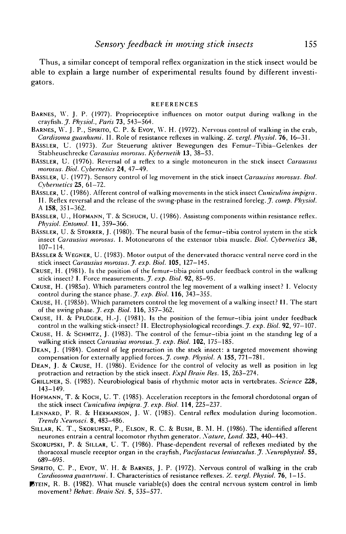Thus, a similar concept of temporal reflex organization in the stick insect would be able to explain a large number of experimental results found by different investigators.

#### **REFERENCES**

- BARNES, W. J. P. (1977). Proprioceptive influences on motor output during walking in the crayfish. *J. Physiol., Paris* 73, 543-564.
- BARNES, W. J. P., SPIRITO, C. P. & EVOY, W. H. (1972). Nervous control of walking in the crab, *Cardisoma guanhumi.* II. Role of resistance reflexes in walking. *Z. lergl. Physiol.* 76, 16—31.
- BASSLER, U. (1973). Zur Steuerung aktiver Bewegungen des Femur-Tibia-Gelenkes der Stabheuschrecke *Carausius momsus. Kybernetik* 13, 38-53.
- BASSLER, U. (1976). Reversal of a reflex to a single motoneuron in the stick insect *Carausius momsus. Biol. Cybernetics* 24, 47-49.
- BASSLER, U. (1977). Sensory control of leg movement in the stick insect *Carausius morosus. Biol. Cybernetics* 25, 61-72.
- BASSLER, U. (1986). Afferent control of walking movements in the stick insect *Cuniculina impigra.* II. Reflex reversal and the release of the swing-phase in the restrained foreleg. *J. comp. Phvsiol.* A **158,** 351-362.
- BASSLER, U., HOFMANN, T. & SCHUCH, U. (1986). Assisting components within resistance reflex. *Physiol. Entomol.* **11,** 359-366.
- BASSLER, U. & STORRER, J. (1980). The neural basis of the femur-tibia control system in the stick insect *Carausius momsus.* I. Motoneurons of the extensor tibia muscle. *Biol. Cvbenietics* 38, 107-114.
- BASSLER & WEGNER, U. (1983). Motor output of the denervated thoracic ventral nerve cord in the stick insect *Carausius momsus. jf. exp. Biol.* **105,** 127-145.
- CRUSE, H. (1981). Is the position of the femur-tibia point under feedback control in the walking stick insect? I. Force measurements. *J. exp. Biol.* 92, 85-95.
- CRUSE, H. (1985n). Which parameters control the leg movement of a walking insect? I. Velocity control during the stance phase, *jf. exp. Biol.* **116,** 343-355.
- CRUSE, H. (19856). Which parameters control the leg movement of a walking insect? II. The start of the swing phase. *J. exp. Biol.* **116,** 357-362.
- CRUSE, H. & PFLOGER, H.-J. (1981). Is the position of the femur-tibia joint under feedback control in the walking stick-insect? II. Electrophysiological recordings.^, *exp. Biol.* 92, 97-107.
- CRUSE, H. & SCHMITZ, J. (1983). The control of the femur-tibia joint in the standing leg of a walking stick insect *Carausius momsus. jf. exp. Biol.* **102,** 175-185.
- DEAN, J. (1984). Control of leg protraction in the stick insect: a targeted movement showing compensation for externally applied forces. *J. comp. Physiol.* A **155,** 771-781.
- DEAN, J. & CRUSE, H. (1986). Evidence for the control of velocity as well as position in leg protraction and retraction by the stick insect. *Expl Brain Res.* 15, 263-274.
- GRILLNER, S. (1985). Neurobiological basis of rhythmic motor acts in vertebrates. *Science* 228, 143-149.
- HOFMANN, T. & KOCH, U. T. (1985). Acceleration receptors in the femoral chordotonal organ of the stick insect *Cuniculina impigra. J. exp. Biol.* **114,** 225-237.
- LENNARD, P. R. & HERMANSON, J. W. (1985). Central reflex modulation during locomotion. *Trends Xeumsci.* 8, 483-486.
- SILLAR, K. T., SKORUPSKI, P., ELSON, R. C. & BUSH, B. M. H. (1986). The identified afferent neurones entrain a central locomotor rhythm generator. *Xature, Land.* 323, 440—443.
- SKORUPSKI, P. & SILLAR, U. T. (1986). Phase-dependent reversal of reflexes mediated by the thoracoxal muscle receptor organ in the crayfish, *Pacifastacus leniusculus.jf. Xeurophvsiol.* 55, 689-695.
- SPIRITO, C. P., EVOY, W. H. & BARNES, J. P. (1972). Nervous control of walking in the crab *Cardiosoma guantrumi.* I. Characteristics of resistance reflexes. *'/.. vergl. Physiol.* 76, 1-15.
- **BTEIN,** R. B. (1982). What muscle variable(s) does the central nervous system control in limb movement? *Behav. Brain Sci.* 5, 535-577.